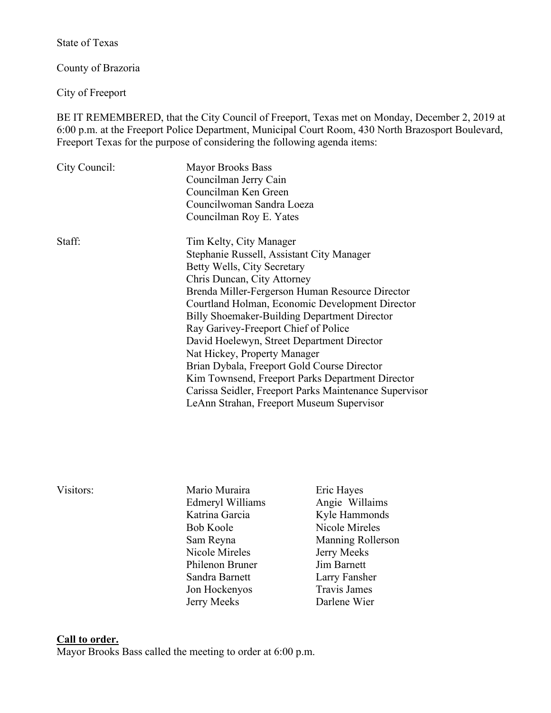State of Texas

County of Brazoria

City of Freeport

BE IT REMEMBERED, that the City Council of Freeport, Texas met on Monday, December 2, 2019 at 6:00 p.m. at the Freeport Police Department, Municipal Court Room, 430 North Brazosport Boulevard, Freeport Texas for the purpose of considering the following agenda items:

| City Council: | <b>Mayor Brooks Bass</b>                               |
|---------------|--------------------------------------------------------|
|               | Councilman Jerry Cain                                  |
|               | Councilman Ken Green                                   |
|               | Councilwoman Sandra Loeza                              |
|               | Councilman Roy E. Yates                                |
| Staff:        | Tim Kelty, City Manager                                |
|               | Stephanie Russell, Assistant City Manager              |
|               | Betty Wells, City Secretary                            |
|               | Chris Duncan, City Attorney                            |
|               | Brenda Miller-Fergerson Human Resource Director        |
|               | Courtland Holman, Economic Development Director        |
|               | <b>Billy Shoemaker-Building Department Director</b>    |
|               | Ray Garivey-Freeport Chief of Police                   |
|               | David Hoelewyn, Street Department Director             |
|               | Nat Hickey, Property Manager                           |
|               | Brian Dybala, Freeport Gold Course Director            |
|               | Kim Townsend, Freeport Parks Department Director       |
|               | Carissa Seidler, Freeport Parks Maintenance Supervisor |
|               | LeAnn Strahan, Freeport Museum Supervisor              |

- Visitors: Mario Muraira Eric Hayes Edmeryl Williams Angie Willaims Katrina Garcia Kyle Hammonds Bob Koole Nicole Mireles Nicole Mireles Jerry Meeks Philenon Bruner Jim Barnett Sandra Barnett Larry Fansher Jon Hockenyos Travis James Jerry Meeks Darlene Wier
	- Sam Reyna Manning Rollerson

### **Call to order.**

Mayor Brooks Bass called the meeting to order at 6:00 p.m.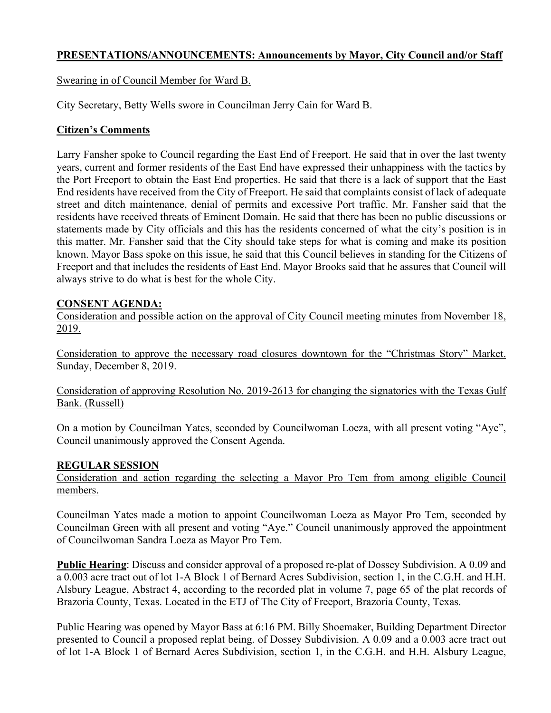# **PRESENTATIONS/ANNOUNCEMENTS: Announcements by Mayor, City Council and/or Staff**

Swearing in of Council Member for Ward B.

City Secretary, Betty Wells swore in Councilman Jerry Cain for Ward B.

## **Citizen's Comments**

Larry Fansher spoke to Council regarding the East End of Freeport. He said that in over the last twenty years, current and former residents of the East End have expressed their unhappiness with the tactics by the Port Freeport to obtain the East End properties. He said that there is a lack of support that the East End residents have received from the City of Freeport. He said that complaints consist of lack of adequate street and ditch maintenance, denial of permits and excessive Port traffic. Mr. Fansher said that the residents have received threats of Eminent Domain. He said that there has been no public discussions or statements made by City officials and this has the residents concerned of what the city's position is in this matter. Mr. Fansher said that the City should take steps for what is coming and make its position known. Mayor Bass spoke on this issue, he said that this Council believes in standing for the Citizens of Freeport and that includes the residents of East End. Mayor Brooks said that he assures that Council will always strive to do what is best for the whole City.

## **CONSENT AGENDA:**

Consideration and possible action on the approval of City Council meeting minutes from November 18, 2019.

Consideration to approve the necessary road closures downtown for the "Christmas Story" Market. Sunday, December 8, 2019.

Consideration of approving Resolution No. 2019-2613 for changing the signatories with the Texas Gulf Bank. (Russell)

On a motion by Councilman Yates, seconded by Councilwoman Loeza, with all present voting "Aye", Council unanimously approved the Consent Agenda.

## **REGULAR SESSION**

Consideration and action regarding the selecting a Mayor Pro Tem from among eligible Council members.

Councilman Yates made a motion to appoint Councilwoman Loeza as Mayor Pro Tem, seconded by Councilman Green with all present and voting "Aye." Council unanimously approved the appointment of Councilwoman Sandra Loeza as Mayor Pro Tem.

**Public Hearing**: Discuss and consider approval of a proposed re-plat of Dossey Subdivision. A 0.09 and a 0.003 acre tract out of lot 1-A Block 1 of Bernard Acres Subdivision, section 1, in the C.G.H. and H.H. Alsbury League, Abstract 4, according to the recorded plat in volume 7, page 65 of the plat records of Brazoria County, Texas. Located in the ETJ of The City of Freeport, Brazoria County, Texas.

Public Hearing was opened by Mayor Bass at 6:16 PM. Billy Shoemaker, Building Department Director presented to Council a proposed replat being. of Dossey Subdivision. A 0.09 and a 0.003 acre tract out of lot 1-A Block 1 of Bernard Acres Subdivision, section 1, in the C.G.H. and H.H. Alsbury League,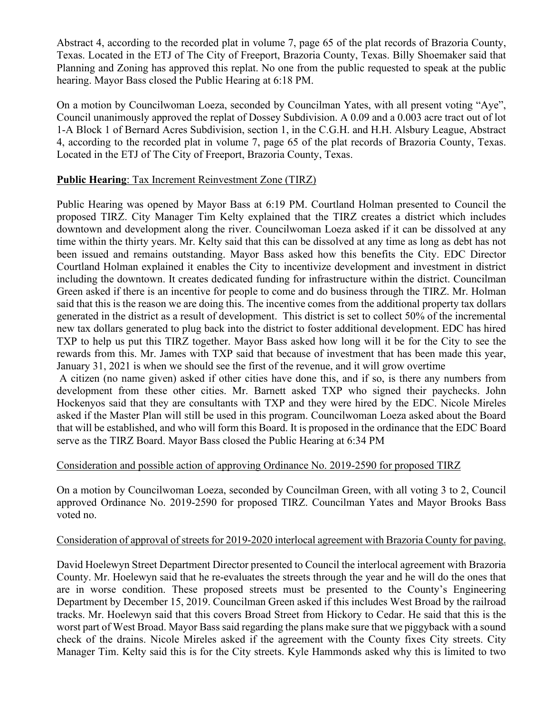Abstract 4, according to the recorded plat in volume 7, page 65 of the plat records of Brazoria County, Texas. Located in the ETJ of The City of Freeport, Brazoria County, Texas. Billy Shoemaker said that Planning and Zoning has approved this replat. No one from the public requested to speak at the public hearing. Mayor Bass closed the Public Hearing at 6:18 PM.

On a motion by Councilwoman Loeza, seconded by Councilman Yates, with all present voting "Aye", Council unanimously approved the replat of Dossey Subdivision. A 0.09 and a 0.003 acre tract out of lot 1-A Block 1 of Bernard Acres Subdivision, section 1, in the C.G.H. and H.H. Alsbury League, Abstract 4, according to the recorded plat in volume 7, page 65 of the plat records of Brazoria County, Texas. Located in the ETJ of The City of Freeport, Brazoria County, Texas.

### **Public Hearing**: Tax Increment Reinvestment Zone (TIRZ)

Public Hearing was opened by Mayor Bass at 6:19 PM. Courtland Holman presented to Council the proposed TIRZ. City Manager Tim Kelty explained that the TIRZ creates a district which includes downtown and development along the river. Councilwoman Loeza asked if it can be dissolved at any time within the thirty years. Mr. Kelty said that this can be dissolved at any time as long as debt has not been issued and remains outstanding. Mayor Bass asked how this benefits the City. EDC Director Courtland Holman explained it enables the City to incentivize development and investment in district including the downtown. It creates dedicated funding for infrastructure within the district. Councilman Green asked if there is an incentive for people to come and do business through the TIRZ. Mr. Holman said that this is the reason we are doing this. The incentive comes from the additional property tax dollars generated in the district as a result of development. This district is set to collect 50% of the incremental new tax dollars generated to plug back into the district to foster additional development. EDC has hired TXP to help us put this TIRZ together. Mayor Bass asked how long will it be for the City to see the rewards from this. Mr. James with TXP said that because of investment that has been made this year, January 31, 2021 is when we should see the first of the revenue, and it will grow overtime

A citizen (no name given) asked if other cities have done this, and if so, is there any numbers from development from these other cities. Mr. Barnett asked TXP who signed their paychecks. John Hockenyos said that they are consultants with TXP and they were hired by the EDC. Nicole Mireles asked if the Master Plan will still be used in this program. Councilwoman Loeza asked about the Board that will be established, and who will form this Board. It is proposed in the ordinance that the EDC Board serve as the TIRZ Board. Mayor Bass closed the Public Hearing at 6:34 PM

### Consideration and possible action of approving Ordinance No. 2019-2590 for proposed TIRZ

On a motion by Councilwoman Loeza, seconded by Councilman Green, with all voting 3 to 2, Council approved Ordinance No. 2019-2590 for proposed TIRZ. Councilman Yates and Mayor Brooks Bass voted no.

### Consideration of approval of streets for 2019-2020 interlocal agreement with Brazoria County for paving.

David Hoelewyn Street Department Director presented to Council the interlocal agreement with Brazoria County. Mr. Hoelewyn said that he re-evaluates the streets through the year and he will do the ones that are in worse condition. These proposed streets must be presented to the County's Engineering Department by December 15, 2019. Councilman Green asked if this includes West Broad by the railroad tracks. Mr. Hoelewyn said that this covers Broad Street from Hickory to Cedar. He said that this is the worst part of West Broad. Mayor Bass said regarding the plans make sure that we piggyback with a sound check of the drains. Nicole Mireles asked if the agreement with the County fixes City streets. City Manager Tim. Kelty said this is for the City streets. Kyle Hammonds asked why this is limited to two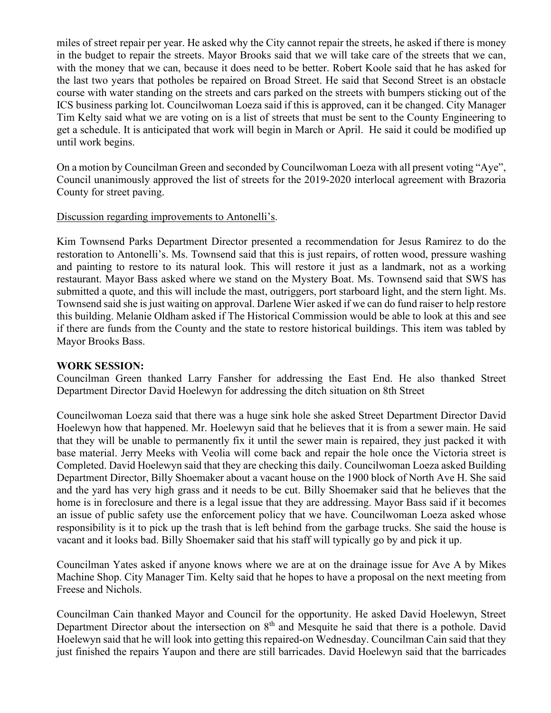miles of street repair per year. He asked why the City cannot repair the streets, he asked if there is money in the budget to repair the streets. Mayor Brooks said that we will take care of the streets that we can, with the money that we can, because it does need to be better. Robert Koole said that he has asked for the last two years that potholes be repaired on Broad Street. He said that Second Street is an obstacle course with water standing on the streets and cars parked on the streets with bumpers sticking out of the ICS business parking lot. Councilwoman Loeza said if this is approved, can it be changed. City Manager Tim Kelty said what we are voting on is a list of streets that must be sent to the County Engineering to get a schedule. It is anticipated that work will begin in March or April. He said it could be modified up until work begins.

On a motion by Councilman Green and seconded by Councilwoman Loeza with all present voting "Aye", Council unanimously approved the list of streets for the 2019-2020 interlocal agreement with Brazoria County for street paving.

### Discussion regarding improvements to Antonelli's.

Kim Townsend Parks Department Director presented a recommendation for Jesus Ramirez to do the restoration to Antonelli's. Ms. Townsend said that this is just repairs, of rotten wood, pressure washing and painting to restore to its natural look. This will restore it just as a landmark, not as a working restaurant. Mayor Bass asked where we stand on the Mystery Boat. Ms. Townsend said that SWS has submitted a quote, and this will include the mast, outriggers, port starboard light, and the stern light. Ms. Townsend said she is just waiting on approval. Darlene Wier asked if we can do fund raiser to help restore this building. Melanie Oldham asked if The Historical Commission would be able to look at this and see if there are funds from the County and the state to restore historical buildings. This item was tabled by Mayor Brooks Bass.

### **WORK SESSION:**

Councilman Green thanked Larry Fansher for addressing the East End. He also thanked Street Department Director David Hoelewyn for addressing the ditch situation on 8th Street

Councilwoman Loeza said that there was a huge sink hole she asked Street Department Director David Hoelewyn how that happened. Mr. Hoelewyn said that he believes that it is from a sewer main. He said that they will be unable to permanently fix it until the sewer main is repaired, they just packed it with base material. Jerry Meeks with Veolia will come back and repair the hole once the Victoria street is Completed. David Hoelewyn said that they are checking this daily. Councilwoman Loeza asked Building Department Director, Billy Shoemaker about a vacant house on the 1900 block of North Ave H. She said and the yard has very high grass and it needs to be cut. Billy Shoemaker said that he believes that the home is in foreclosure and there is a legal issue that they are addressing. Mayor Bass said if it becomes an issue of public safety use the enforcement policy that we have. Councilwoman Loeza asked whose responsibility is it to pick up the trash that is left behind from the garbage trucks. She said the house is vacant and it looks bad. Billy Shoemaker said that his staff will typically go by and pick it up.

Councilman Yates asked if anyone knows where we are at on the drainage issue for Ave A by Mikes Machine Shop. City Manager Tim. Kelty said that he hopes to have a proposal on the next meeting from Freese and Nichols.

Councilman Cain thanked Mayor and Council for the opportunity. He asked David Hoelewyn, Street Department Director about the intersection on 8<sup>th</sup> and Mesquite he said that there is a pothole. David Hoelewyn said that he will look into getting this repaired-on Wednesday. Councilman Cain said that they just finished the repairs Yaupon and there are still barricades. David Hoelewyn said that the barricades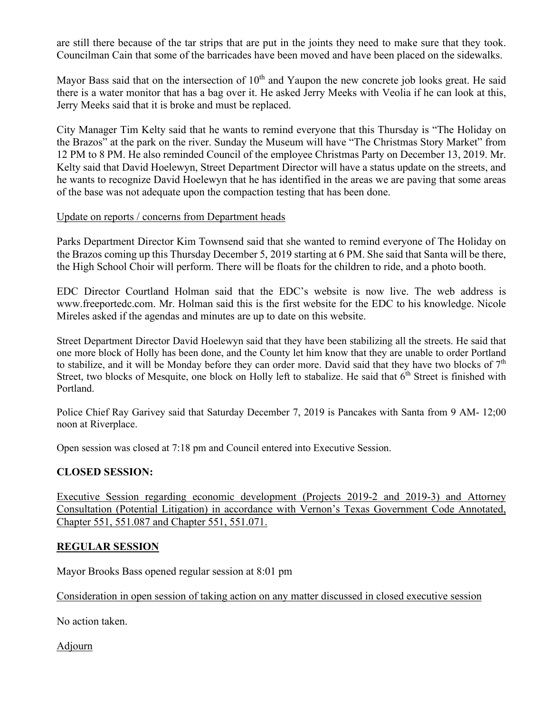are still there because of the tar strips that are put in the joints they need to make sure that they took. Councilman Cain that some of the barricades have been moved and have been placed on the sidewalks.

Mayor Bass said that on the intersection of  $10<sup>th</sup>$  and Yaupon the new concrete job looks great. He said there is a water monitor that has a bag over it. He asked Jerry Meeks with Veolia if he can look at this, Jerry Meeks said that it is broke and must be replaced.

City Manager Tim Kelty said that he wants to remind everyone that this Thursday is "The Holiday on the Brazos" at the park on the river. Sunday the Museum will have "The Christmas Story Market" from 12 PM to 8 PM. He also reminded Council of the employee Christmas Party on December 13, 2019. Mr. Kelty said that David Hoelewyn, Street Department Director will have a status update on the streets, and he wants to recognize David Hoelewyn that he has identified in the areas we are paving that some areas of the base was not adequate upon the compaction testing that has been done.

#### Update on reports / concerns from Department heads

Parks Department Director Kim Townsend said that she wanted to remind everyone of The Holiday on the Brazos coming up this Thursday December 5, 2019 starting at 6 PM. She said that Santa will be there, the High School Choir will perform. There will be floats for the children to ride, and a photo booth.

EDC Director Courtland Holman said that the EDC's website is now live. The web address is www.freeportedc.com. Mr. Holman said this is the first website for the EDC to his knowledge. Nicole Mireles asked if the agendas and minutes are up to date on this website.

Street Department Director David Hoelewyn said that they have been stabilizing all the streets. He said that one more block of Holly has been done, and the County let him know that they are unable to order Portland to stabilize, and it will be Monday before they can order more. David said that they have two blocks of  $7<sup>th</sup>$ Street, two blocks of Mesquite, one block on Holly left to stabalize. He said that  $6<sup>th</sup>$  Street is finished with Portland.

Police Chief Ray Garivey said that Saturday December 7, 2019 is Pancakes with Santa from 9 AM- 12;00 noon at Riverplace.

Open session was closed at 7:18 pm and Council entered into Executive Session.

### **CLOSED SESSION:**

Executive Session regarding economic development (Projects 2019-2 and 2019-3) and Attorney Consultation (Potential Litigation) in accordance with Vernon's Texas Government Code Annotated, Chapter 551, 551.087 and Chapter 551, 551.071.

### **REGULAR SESSION**

Mayor Brooks Bass opened regular session at 8:01 pm

Consideration in open session of taking action on any matter discussed in closed executive session

No action taken.

Adjourn